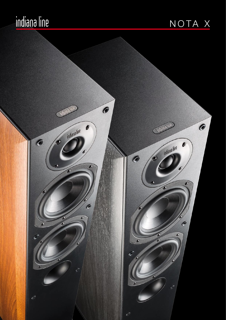## <u>indiana line</u>

### NOTA X

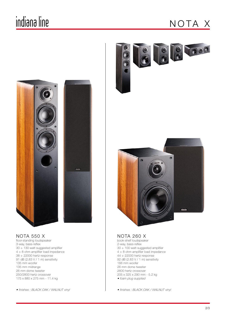### indiana line

#### N O TA X



industries

nota 550 X floor-standing loudspeaker 3-way, bass-reflex 30 ÷ 130 watt suggested amplifier 4 ÷ 8 ohm amplifier load impedance 38 ÷ 22000 hertz response 91 dB (2.83 V / 1 m) sensitivity 135 mm woofer 135 mm midrange 26 mm dome tweeter 250/2800 hertz crossover 175 x 880 x 275 mm - 11.4 kg

• finishes : BLACK OAK / WALNUT vinyl





#### nota 260 X

book-shelf loudspeaker 2-way, bass-reflex 30 ÷ 100 watt suggested amplifier 4 ÷ 8 ohm amplifier load impedance 44 ÷ 22000 hertz response 92 dB (2.83 V / 1 m) sensitivity 166 mm woofer 26 mm dome tweeter 2600 hertz crossover 205 x 325 x 290 mm - 5.2 kg • foam plug supplied

• finishes : BLACK OAK / WALNUT vinyl